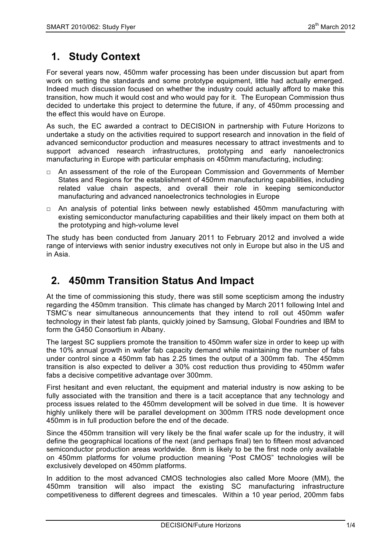# **1. Study Context**

For several years now, 450mm wafer processing has been under discussion but apart from work on setting the standards and some prototype equipment, little had actually emerged. Indeed much discussion focused on whether the industry could actually afford to make this transition, how much it would cost and who would pay for it. The European Commission thus decided to undertake this project to determine the future, if any, of 450mm processing and the effect this would have on Europe.

As such, the EC awarded a contract to DECISION in partnership with Future Horizons to undertake a study on the activities required to support research and innovation in the field of advanced semiconductor production and measures necessary to attract investments and to support advanced research infrastructures, prototyping and early nanoelectronics manufacturing in Europe with particular emphasis on 450mm manufacturing, including:

- □ An assessment of the role of the European Commission and Governments of Member States and Regions for the establishment of 450mm manufacturing capabilities, including related value chain aspects, and overall their role in keeping semiconductor manufacturing and advanced nanoelectronics technologies in Europe
- □ An analysis of potential links between newly established 450mm manufacturing with existing semiconductor manufacturing capabilities and their likely impact on them both at the prototyping and high-volume level

The study has been conducted from January 2011 to February 2012 and involved a wide range of interviews with senior industry executives not only in Europe but also in the US and in Asia.

### **2. 450mm Transition Status And Impact**

At the time of commissioning this study, there was still some scepticism among the industry regarding the 450mm transition. This climate has changed by March 2011 following Intel and TSMC's near simultaneous announcements that they intend to roll out 450mm wafer technology in their latest fab plants, quickly joined by Samsung, Global Foundries and IBM to form the G450 Consortium in Albany.

The largest SC suppliers promote the transition to 450mm wafer size in order to keep up with the 10% annual growth in wafer fab capacity demand while maintaining the number of fabs under control since a 450mm fab has 2.25 times the output of a 300mm fab. The 450mm transition is also expected to deliver a 30% cost reduction thus providing to 450mm wafer fabs a decisive competitive advantage over 300mm.

First hesitant and even reluctant, the equipment and material industry is now asking to be fully associated with the transition and there is a tacit acceptance that any technology and process issues related to the 450mm development will be solved in due time. It is however highly unlikely there will be parallel development on 300mm ITRS node development once 450mm is in full production before the end of the decade.

Since the 450mm transition will very likely be the final wafer scale up for the industry, it will define the geographical locations of the next (and perhaps final) ten to fifteen most advanced semiconductor production areas worldwide. 8nm is likely to be the first node only available on 450mm platforms for volume production meaning "Post CMOS" technologies will be exclusively developed on 450mm platforms.

In addition to the most advanced CMOS technologies also called More Moore (MM), the 450mm transition will also impact the existing SC manufacturing infrastructure competitiveness to different degrees and timescales. Within a 10 year period, 200mm fabs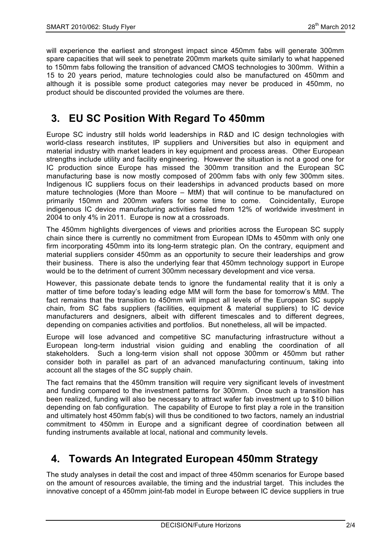will experience the earliest and strongest impact since 450mm fabs will generate 300mm spare capacities that will seek to penetrate 200mm markets quite similarly to what happened to 150mm fabs following the transition of advanced CMOS technologies to 300mm. Within a 15 to 20 years period, mature technologies could also be manufactured on 450mm and although it is possible some product categories may never be produced in 450mm, no product should be discounted provided the volumes are there.

# **3. EU SC Position With Regard To 450mm**

Europe SC industry still holds world leaderships in R&D and IC design technologies with world-class research institutes, IP suppliers and Universities but also in equipment and material industry with market leaders in key equipment and process areas. Other European strengths include utility and facility engineering. However the situation is not a good one for IC production since Europe has missed the 300mm transition and the European SC manufacturing base is now mostly composed of 200mm fabs with only few 300mm sites. Indigenous IC suppliers focus on their leaderships in advanced products based on more mature technologies (More than Moore – MtM) that will continue to be manufactured on primarily 150mm and 200mm wafers for some time to come. Coincidentally, Europe indigenous IC device manufacturing activities failed from 12% of worldwide investment in 2004 to only 4% in 2011. Europe is now at a crossroads.

The 450mm highlights divergences of views and priorities across the European SC supply chain since there is currently no commitment from European IDMs to 450mm with only one firm incorporating 450mm into its long-term strategic plan. On the contrary, equipment and material suppliers consider 450mm as an opportunity to secure their leaderships and grow their business. There is also the underlying fear that 450mm technology support in Europe would be to the detriment of current 300mm necessary development and vice versa.

However, this passionate debate tends to ignore the fundamental reality that it is only a matter of time before today's leading edge MM will form the base for tomorrow's MtM. The fact remains that the transition to 450mm will impact all levels of the European SC supply chain, from SC fabs suppliers (facilities, equipment & material suppliers) to IC device manufacturers and designers, albeit with different timescales and to different degrees, depending on companies activities and portfolios. But nonetheless, all will be impacted.

Europe will lose advanced and competitive SC manufacturing infrastructure without a European long-term industrial vision guiding and enabling the coordination of all stakeholders. Such a long-term vision shall not oppose 300mm or 450mm but rather consider both in parallel as part of an advanced manufacturing continuum, taking into account all the stages of the SC supply chain.

The fact remains that the 450mm transition will require very significant levels of investment and funding compared to the investment patterns for 300mm. Once such a transition has been realized, funding will also be necessary to attract wafer fab investment up to \$10 billion depending on fab configuration. The capability of Europe to first play a role in the transition and ultimately host 450mm fab(s) will thus be conditioned to two factors, namely an industrial commitment to 450mm in Europe and a significant degree of coordination between all funding instruments available at local, national and community levels.

# **4. Towards An Integrated European 450mm Strategy**

The study analyses in detail the cost and impact of three 450mm scenarios for Europe based on the amount of resources available, the timing and the industrial target. This includes the innovative concept of a 450mm joint-fab model in Europe between IC device suppliers in true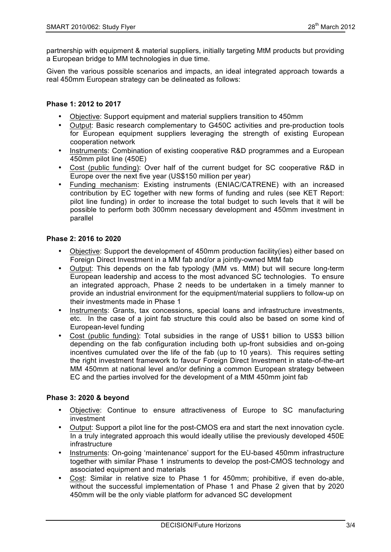partnership with equipment & material suppliers, initially targeting MtM products but providing a European bridge to MM technologies in due time.

Given the various possible scenarios and impacts, an ideal integrated approach towards a real 450mm European strategy can be delineated as follows:

#### **Phase 1: 2012 to 2017**

- Objective: Support equipment and material suppliers transition to 450mm
- Output: Basic research complementary to G450C activities and pre-production tools for European equipment suppliers leveraging the strength of existing European cooperation network
- Instruments: Combination of existing cooperative R&D programmes and a European 450mm pilot line (450E)
- Cost (public funding): Over half of the current budget for SC cooperative R&D in Europe over the next five year (US\$150 million per year)
- Funding mechanism: Existing instruments (ENIAC/CATRENE) with an increased contribution by EC together with new forms of funding and rules (see KET Report: pilot line funding) in order to increase the total budget to such levels that it will be possible to perform both 300mm necessary development and 450mm investment in parallel

#### **Phase 2: 2016 to 2020**

- Objective: Support the development of 450mm production facility(ies) either based on Foreign Direct Investment in a MM fab and/or a jointly-owned MtM fab
- Output: This depends on the fab typology (MM vs. MtM) but will secure long-term European leadership and access to the most advanced SC technologies. To ensure an integrated approach, Phase 2 needs to be undertaken in a timely manner to provide an industrial environment for the equipment/material suppliers to follow-up on their investments made in Phase 1
- Instruments: Grants, tax concessions, special loans and infrastructure investments, etc. In the case of a joint fab structure this could also be based on some kind of European-level funding
- Cost (public funding): Total subsidies in the range of US\$1 billion to US\$3 billion depending on the fab configuration including both up-front subsidies and on-going incentives cumulated over the life of the fab (up to 10 years). This requires setting the right investment framework to favour Foreign Direct Investment in state-of-the-art MM 450mm at national level and/or defining a common European strategy between EC and the parties involved for the development of a MtM 450mm joint fab

#### **Phase 3: 2020 & beyond**

- Objective: Continue to ensure attractiveness of Europe to SC manufacturing investment
- Output: Support a pilot line for the post-CMOS era and start the next innovation cycle. In a truly integrated approach this would ideally utilise the previously developed 450E **infrastructure**
- Instruments: On-going 'maintenance' support for the EU-based 450mm infrastructure together with similar Phase 1 instruments to develop the post-CMOS technology and associated equipment and materials
- Cost: Similar in relative size to Phase 1 for 450mm; prohibitive, if even do-able, without the successful implementation of Phase 1 and Phase 2 given that by 2020 450mm will be the only viable platform for advanced SC development